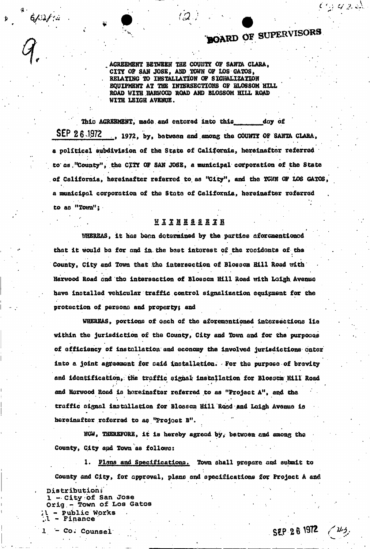## **\*BOARD OF SUPERVISORS**

 $\gamma_2$  and

<sup>t</sup> AGREEMENT BETWEEN THE COURT? OF SANTA CLARA, CITY OF SAN JOSE, AND TOWN OF LOS GATOS, . RELATING TO INSTALLATION OF SIGKALIZATION EQUIPMENT AT THE INTERSECTIONS OF BLOSSOM HILL ROAD WITH HARWOOD ROAD AND BLOSSOM HILL ROAD WITH LEIGH AVENUE.

This AGREENENT, made and entered into this day of SEP 26 1972 , 1972, by, between and among the COUNTY OF SANTA CLARA, a political subdivision of the State of California, hereinafter referred to as, "County", the CITY OF SAN JOSE, a municipal corporation of the State of California, hereinafter referred to as "City", and the TOWN OF LOS GATOS, a municipal corporation of the State of California, hereinafter referred to as "Town";

## **WITH ESSETH**

WHEREAS, it has been determined by the parties aforementioned that it would be for and in. the best interest of the residents of the County, City and Town that the intersection of Blossom Hill Road with Harwood Road and the intersection of Blossom Hill Road with Leigh. Avenue have installed vehicular traffic:control signalization equipment for the protection of persona and property; and

WHEREAS, portions of each of the aforementioned intersections lie within the jurisdiction of the County, City and Town and for the purpooqs of efficiency of Installation and economy the involved jurisdictions enter into a joint agreement for oaid installation. - For the purpose of brevity and Identification,: the traffic signal' installation for Blosaom Hill Road and Harwood Road is hereinafter referred to as "Project A", and the traffic signal installation for Blossom Hill Road and Leigh Avenue is hereinafter referred to as "Project B".

NOW, THEREFORE, it is hereby agread by, between and among the County, City apd Town as follows:

1. Plans and Specifications. Town shall prepare and submit to County and City, for approval, plans and specifications for Project A and

**Distribution?**  1 - City of San Jose Orig.-< **Town of Los Gatos**  - Public Works .1 - Finance .

 $L - Co.$  Counsel  $SEP 26 1972$ 

 $6/0/4$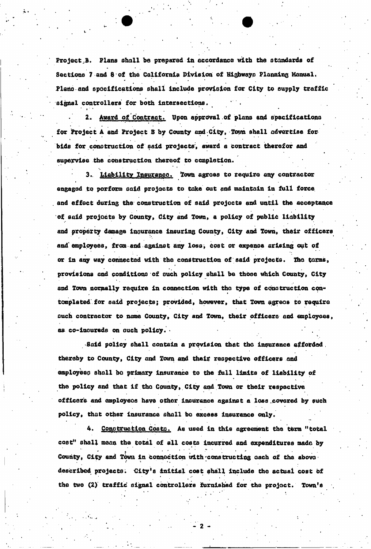Project<sub>.</sub>B. Plans shall be prepared in accordance with the standards of Sections 7 and 8 of the California Division of Highways Planning Manual, Piano and specifications shall include provision for City to supply traffic signal controllers for both intersections.

Award of Contract. Upon approval of plans and specifications for Project A and Project B by County and City, Town shall advertise forbids for construction of said projects, award a Contract therefor and supervise the construction thereof to completion.

» • \*<sup>1</sup> •

3. Liability Insurance. Town agrees to require any contractor engaged to perform said projects to take out and maintain in full force and effect during the construction of said projects and until the acceptance of said projects by County, City and Town, a policy of public liability and property damage inouronce insuring County, City and Town, their officers and employees, from and against any loss, cost or expense arising out of or in any way connected with the construction of said projects. The terms, provisions and conditions of ouch policy shall be those Which County, City and Town normally require in connection with the type of construction contemplated for said projects; provided, however, that Town agrees to require ouch contractor to name County, City and Town, their officers and employees, as co-lnoureds on ouch policy. -

Said policy shall contain a provision that the insurance afforded, thereby to County, City and Town and their respective officers and employeeo shall bo primary Insurance to the full limits of liability of the policy and that if the County, City and Town or their respective officers and employeos have other insurance against a loss covered by such policy, that other insurance shall be excess Insurance only.

4. Construction Costs. As used in this agreement the term "total cost" shall mean the total of all costs incurred and expenditures made by County, City and Town in connection with constructing each of the above described projects. City's initial cost shall include the actual cost of the two (2) traffic signal controllers furnished for the project. Town'a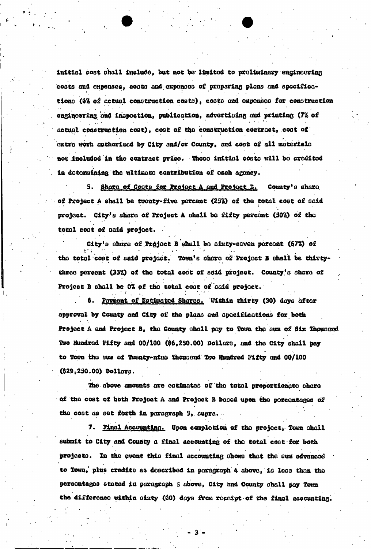initial cost shall include, but not be limited to preliminary engineering costs and expenses, costs and expenses of preparing plans and specificatione (6% of actual construction costs), costs and expenses for construction engincering and inspection, publication, advertising and printing (7% of actual construction cost), cost of the construction contract, cost of oxtro work authorised by City and/or County, and cost of all materials not included in the contract price. These initial costs will be credited in dotormining the ultimate contribution of each agency.

5. Shore of Costs for Project A and Project B. County's share of Project A shall be twonty-five porcent (25%) of the total cost of said project. City's share of Project A shall be fifty percent (50%) of the total cost of said project.

City's share of Project B shall be sixty-seven percent (67%) of the total copt of said project. Town's share of Project B shall be thirtythree percent (33%) of the total cost of said project. County's share of Project B shall be 0% of the total cost of said project.

Payment of Estimated Shares. Within thirty (30) days after approval by County and City of the plane and apecifications for both Project A and Project B, the County shall pay to Town the sum of Six Thousand Two Hundred Fifty and 00/100 (\$6,250.00) Dollars, and the City shall pay to Town the sum of Twenty-nine Thousand Two Hundred Fifty and 00/100 (\$29,250.00) Dollars.

The above amounts are estimated of the total proportionate share of the cost of both Project A and Project B based upon the percentages of the cost as set forth in paragraph 5, supra.

7. Final Accounting. Upon completion of the project, Town shall submit to City and County a final accounting of the total cost for both projects. In the event this final accounting shows that the sum advanced to Town, plus credits as described in peragraph 4 above, is less than the percentages stated in paragraph 5 above, City and County shall pay Town the difference within sixty (60) days from receipt of the final accounting.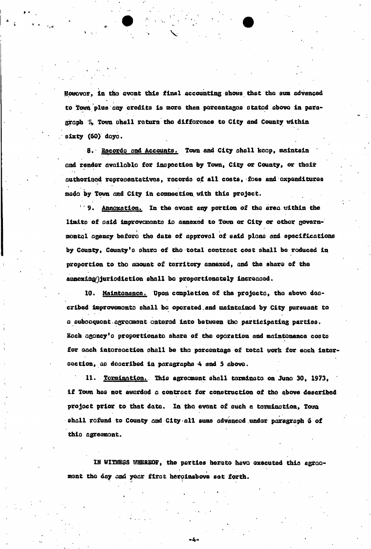However, in the event this final accounting shows that the sum advanced to Town plus any credits is more than percentages stated above in paragraph 5» Tom ohall return tho difference to City and County within sixty (60) days.

8. Recordo and Accounts. Town and City shall keep, maintain and render available for inspection by Town, City or County, or their authorised representatives, records of all costs, foes and expenditures made by Tom and City In connection with this project.

**19. Annoxation.** In the event any portion of the area uithin the limits of said improvements is annexed to Town or City or other governi , montQl agency before the date of approval of said plans end specifications by County, County's ohara of the total contract cost shall be reduced in proportion to tho amount of territory annexed, and the share of the annex&og^juriodiction shall bo proportionately increased.

10. Maintenance. Upon completion of the projecto, tho abovo described improvements shall be operated.and maintained by City pursuant to a subsequent-agreement entered Into between tho participating parties. Each agency's proportionate share of the operation and maintenance costs for each intersection shall be the percentage of total work for each intersection, as described in paragraphs 4 and 5 above.

11. Termination. This agreement shall terminate on June 30, 1973, if Town has not awarded a contract for construction of tho above described project prior to that date. In the event of such a termination, Town shall refund to County and City all sums advanced under paragraph 6 of thio agreement.

IN WITNESS WHEREOF, the parties hereto have executed this agreement the day and year first hereinabove set forth.

-4-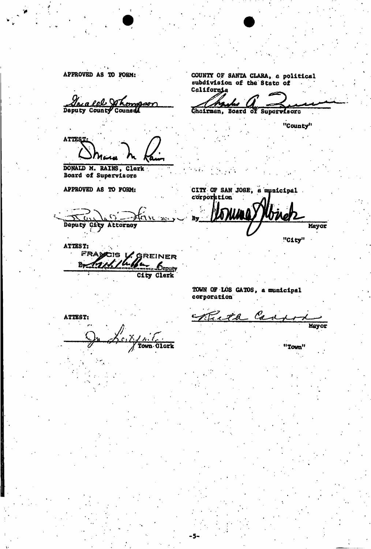APPROVED AS TO FORM: COUNTY OF SANTA CLARA, a political subdivision of die Statq Of California Josafel Whomsor И Deputy County Counsel Chairman, Board of Supervisors "County" **ATTEST;**  DONALD M. RAINS, Clerk Board of supervisors APPROVED AS TO FORM: CITY OF SAN JOSE, a municipal corporation By Deputy City Attorney Mayor "City" ATTEST:<br>FRA **ENAPCIS V. GREINER**  $\frac{1}{\sqrt{2}}$ City Clerk TOWN OF LOS GATOS , a municipal corporation  $\mathcal{C}_{\boldsymbol{d}}$ <u>Zita</u> ATTEST: Mayor dlork "Town" Town

-5.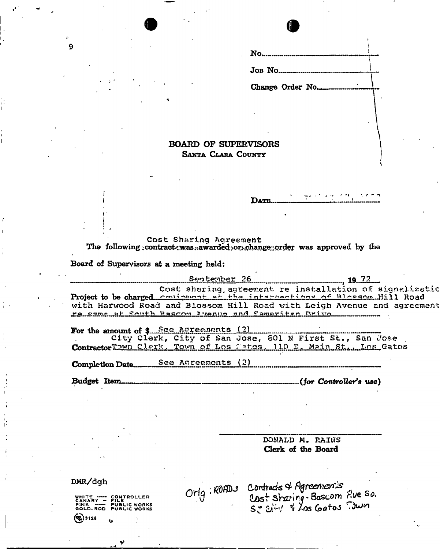$\bf{No}$  $J$ OB NO. Change Order No...

## **BOARD OF SUPERVISORS** SANTA CLARA COUNTY

Cost Sharing Agreement The following contract, was awarded or change order was approved by the

Board of Supervisors at a meeting held:

September 26 . 19. 72 Cost sharing agreement re installation of signalizatio Project to be charged continuent at the intersections of Blossom Hill Road with Harwood Road and Blossom Hill Road with Leigh Avenue and agreement re same at South Passon Prenue and Samaritan Drive

DATE.

For the amount of \$ See Acreements (?) City Clerk, City of San Jose, 801 N First St., San Jose ContractorThwn Clerk, Town of Los Satos, 110 E. Main St., Los Gatos

Completion Date............ See Agreements (2)

Budget Item...  $............(for Controler's use)$ 

> DONALD M. RAINS Clerk of the Board

DMR/dgh

 $($ Ee) 3128

WHITE ----- CONTROLLER<br>CANARY --- FILE<br>PINK ---- PUBLIC WORKS<br>GOLD.ROD PUBLIC WORKS

 $\mathbf{Q}$ 

Orig: ROADS Contrads & Agreement's<br>Cost Strating-Boscom Rue So.<br>Se 2: 1 Kos Gatos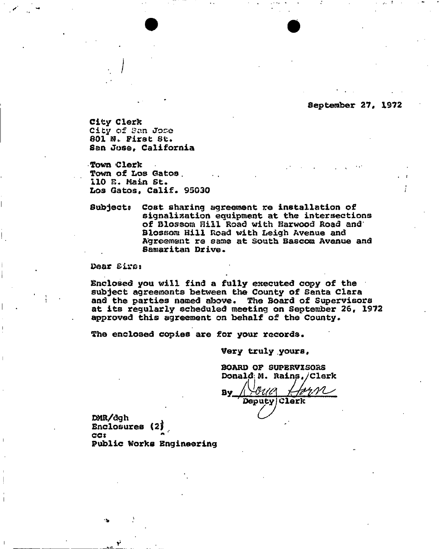September 27, 1972

City Clerk City of tfan Jose  $601$   $\mathbb{N}$ . First St. San Jos©, California

**.. J** 

Town Clerk Town of Los Gatos 110 E. Main St. Los Gatos, Calif. 95030

Subject? Coat sharing agreement re installation of signalissation equipment at the intersections of Blossom Hill Road with Harwood Road and Blossom Hill Road with Leigh Avenue and Agreement re same at South Bascom Avenue and Samaritan Drive.

Dear Biros

i<sup>y</sup>-idad in the second the second term of the second term of the second term of the second term of the second term of the second term of the second term of the second term of the second term of the second term of the seco

Enclosed you will find a fully executed copy of the subject agreements between the County of Santa Clara and the parties named above. The Board of Supervisors at its regularly scheduled meeting on September 26, 1972 approved this agreement on behalf of the County.

The enclosed copies are for your records.

Very truly yours,

BOARD OF SUPERVISORS Donald\ M. Rains / Clerk

bv */chtm*   ${\cal L} {\cal N}$ Deputy Clerk

DMR/dgh Enclosures (2  $ccs$ Public Works Engineering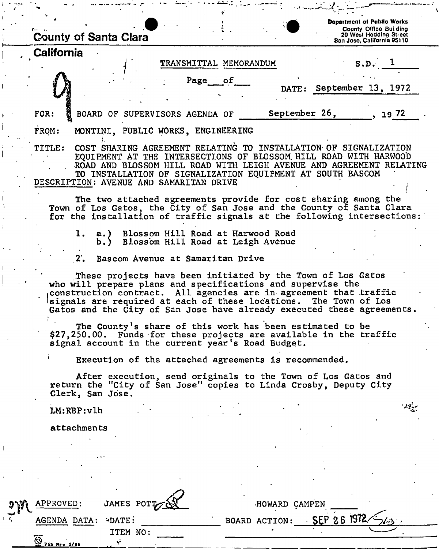| <b>County of Santa Clara</b>                                                                                                                                                                                                                                                                                                                  | <b>Department of Public Works</b><br><b>County Office Building</b><br>20 West Hedding Street<br>San Jose, California 95110 |  |  |  |  |  |  |  |
|-----------------------------------------------------------------------------------------------------------------------------------------------------------------------------------------------------------------------------------------------------------------------------------------------------------------------------------------------|----------------------------------------------------------------------------------------------------------------------------|--|--|--|--|--|--|--|
| California<br>TRANSMITTAL MEMORANDUM                                                                                                                                                                                                                                                                                                          | $S.D.$ 1                                                                                                                   |  |  |  |  |  |  |  |
| Page of                                                                                                                                                                                                                                                                                                                                       | DATE: September 13, 1972                                                                                                   |  |  |  |  |  |  |  |
| September 26,<br>FOR:<br>BOARD OF SUPERVISORS AGENDA OF                                                                                                                                                                                                                                                                                       | 72 و1                                                                                                                      |  |  |  |  |  |  |  |
| FROM:<br>MONTINI, PUBLIC WORKS, ENGINEERING                                                                                                                                                                                                                                                                                                   |                                                                                                                            |  |  |  |  |  |  |  |
| COST SHARING AGREEMENT RELATING TO INSTALLATION OF SIGNALIZATION<br><b>TITLE:</b><br>EQUIEMENT AT THE INTERSECTIONS OF BLOSSOM HILL ROAD WITH HARWOOD<br>ROAD AND BLOSSOM HILL ROAD WITH LEIGH AVENUE AND AGREEMENT RELATING<br>TO INSTALLATION OF SIGNALIZATION EQUIPMENT AT SOUTH BASCOM<br>DESCRIPTION: AVENUE AND SAMARITAN DRIVE         |                                                                                                                            |  |  |  |  |  |  |  |
| The two attached agreements provide for cost sharing among the<br>Town of Los Gatos, the City of San Jose and the County of Santa Clara<br>for the installation of traffic signals at the following intersections:                                                                                                                            |                                                                                                                            |  |  |  |  |  |  |  |
| a.) Blossom Hill Road at Harwood Road<br>ı.<br>b.) Blossom Hill Road at Leigh Avenue                                                                                                                                                                                                                                                          |                                                                                                                            |  |  |  |  |  |  |  |
| Bascom Avenue at Samaritan Drive<br>2.                                                                                                                                                                                                                                                                                                        |                                                                                                                            |  |  |  |  |  |  |  |
| These projects have been initiated by the Town of Los Gatos<br>who will prepare plans and specifications and supervise the<br>construction contract. All agencies are in agreement that traffic<br>signals are required at each of these locations. The Town of Los<br>Gatos and the City of San Jose have already executed these agreements. |                                                                                                                            |  |  |  |  |  |  |  |
| The County's share of this work has been estimated to be<br>\$27,250.00. Funds for these projects are available in the traffic<br>signal account in the current year's Road Budget.                                                                                                                                                           |                                                                                                                            |  |  |  |  |  |  |  |
| Execution of the attached agreements is recommended.                                                                                                                                                                                                                                                                                          |                                                                                                                            |  |  |  |  |  |  |  |
| After execution, send originals to the Town of Los Gatos and<br>return the "City of San Jose" copies to Linda Crosby, Deputy City<br>Clerk, San Jose.                                                                                                                                                                                         |                                                                                                                            |  |  |  |  |  |  |  |
| LM:RBP:v1h                                                                                                                                                                                                                                                                                                                                    |                                                                                                                            |  |  |  |  |  |  |  |
| attachments                                                                                                                                                                                                                                                                                                                                   |                                                                                                                            |  |  |  |  |  |  |  |
|                                                                                                                                                                                                                                                                                                                                               |                                                                                                                            |  |  |  |  |  |  |  |
|                                                                                                                                                                                                                                                                                                                                               |                                                                                                                            |  |  |  |  |  |  |  |
|                                                                                                                                                                                                                                                                                                                                               |                                                                                                                            |  |  |  |  |  |  |  |

 $\overline{\mathbf{r}}$ 

 $\int$ 

 $\bar{1}$ 

| APPROVED:                    | JAMES POTT |  | HOWARD CAMPEN |             |  |
|------------------------------|------------|--|---------------|-------------|--|
| AGENDA DATA: - DATE:         |            |  | BOARD ACTION: | SEP 26 1972 |  |
| ত<br>255 R <sub>F</sub> 2/69 | ITEM NO:   |  |               |             |  |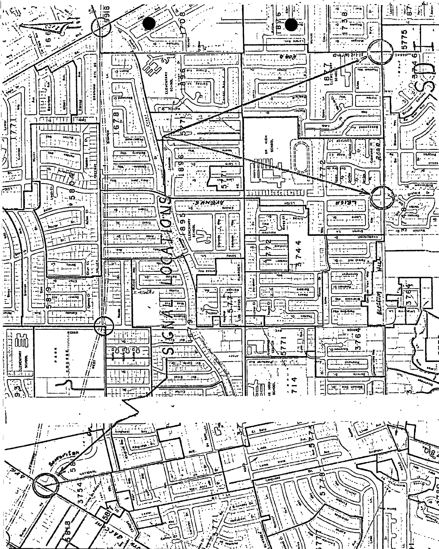